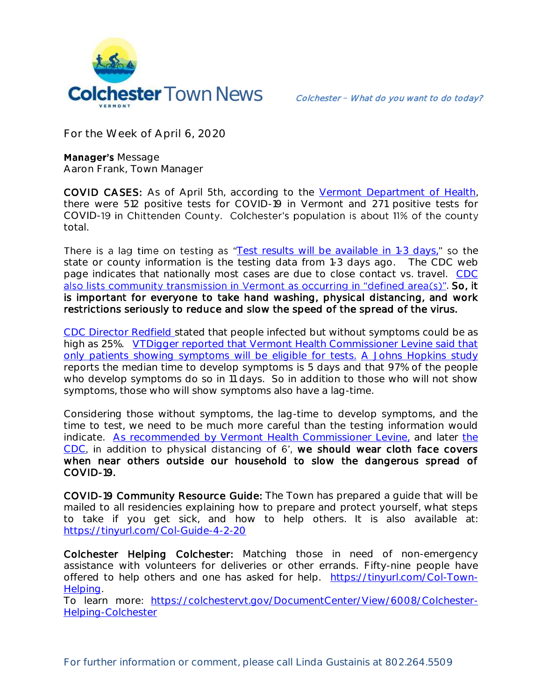

**For the Week of April 6, 2020**

**Manager's Message Aaron Frank, Town Manager** 

**COVID CASES:** As of April 5th, according to the [Vermont Department of Health,](https://www.healthvermont.gov/response/infectious-disease/2019-novel-coronavirus) there were 512 positive tests for COVID-19 in Vermont and 271 positive tests for COVID-19 in Chittenden County. Colchester's population is about 11% of the county total.

There is a lag time on testing as "[Test results will be available in 1-3 days,](https://www.healthvermont.gov/response/infectious-disease/2019-novel-coronavirus)" so the state or county information is the testing data from 1-3 days ago. The CDC web page indicates that nationally most cases are due to close contact vs. travel. [CDC](https://www.cdc.gov/coronavirus/2019-ncov/cases-updates/cases-in-us.html#reporting-cases)  also lists community transmission in Vermont as occurring in "defined area(s)"[.](https://www.cdc.gov/coronavirus/2019-ncov/cases-updates/cases-in-us.html#reporting-cases) So, it is important for everyone to take hand washing, physical distancing, and work restrictions seriously to reduce and slow the speed of the spread of the virus.

[CDC Director Redfield s](https://www.npr.org/sections/health-shots/2020/03/31/824155179/cdc-director-on-models-for-the-months-to-come-this-virus-is-going-to-be-with-us?)tated that people infected but without symptoms could be as high as 25%. VTDigger reported that Vermont Health Commissioner Levine said that [only patients showing symptoms will be eligible for tests.](https://vtdigger.org/2020/03/27/vermont-relaxes-testing-criteria-as-coronavirus-cases-reach-183-10-deaths/) [A Johns Hopkins study](https://hub.jhu.edu/2020/03/09/coronavirus-incubation-period/) reports the median time to develop symptoms is 5 days and that 97% of the people who develop symptoms do so in 11 days. So in addition to those who will not show symptoms, those who will show symptoms also have a lag-time.

Considering those without symptoms, the lag-time to develop symptoms, and the time to test, we need to be much more careful than the testing information would indicate. [As recommended by Vermont Health Commissioner Levine,](https://vtdigger.org/2020/04/03/wear-cloth-masks-in-public-vermonts-health-commissioner-advises/) and later the  $CDC$ , in addition to physical distancing of 6', we should wear cloth face covers when near others outside our household to slow the dangerous spread of COVID-19.

COVID-19 Community Resource Guide: The Town has prepared a guide that will be mailed to all residencies explaining how to prepare and protect yourself, what steps to take if you get sick, and how to help others. It is also available at: <https://tinyurl.com/Col-Guide-4-2-20>

Colchester Helping Colchester: Matching those in need of non-emergency assistance with volunteers for deliveries or other errands. Fifty-nine people have offered to help others and one has asked for help. [https://tinyurl.com/Col-Town-](https://tinyurl.com/Col-Town-Helping)[Helping.](https://tinyurl.com/Col-Town-Helping)

To learn more: [https://colchestervt.gov/DocumentCenter/View/6008/Colchester-](https://colchestervt.gov/DocumentCenter/View/6008/Colchester-Helping-Colchester)[Helping-Colchester](https://colchestervt.gov/DocumentCenter/View/6008/Colchester-Helping-Colchester)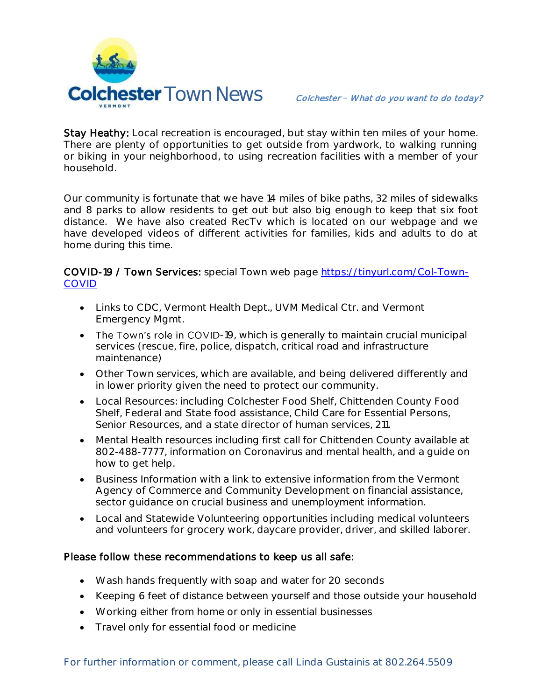

Stay Heathy: Local recreation is encouraged, but stay within ten miles of your home. There are plenty of opportunities to get outside from yardwork, to walking running or biking in your neighborhood, to using recreation facilities with a member of your household.

Our community is fortunate that we have 14 miles of bike paths, 32 miles of sidewalks and 8 parks to allow residents to get out but also big enough to keep that six foot distance. We have also created RecTv which is located on our webpage and we have developed videos of different activities for families, kids and adults to do at home during this time.

COVID-19 / Town Services: special Town web page [https://tinyurl.com/Col-Town-](https://tinyurl.com/Col-Town-COVID)[COVID](https://tinyurl.com/Col-Town-COVID)

- Links to CDC, Vermont Health Dept., UVM Medical Ctr. and Vermont Emergency Mgmt.
- The Town's role in COVID-19, which is generally to maintain crucial municipal services (rescue, fire, police, dispatch, critical road and infrastructure maintenance)
- Other Town services, which are available, and being delivered differently and in lower priority given the need to protect our community.
- Local Resources: including Colchester Food Shelf, Chittenden County Food Shelf, Federal and State food assistance, Child Care for Essential Persons, Senior Resources, and a state director of human services, 211.
- Mental Health resources including first call for Chittenden County available at 802-488-7777, information on Coronavirus and mental health, and a guide on how to get help.
- Business Information with a link to extensive information from the Vermont Agency of Commerce and Community Development on financial assistance, sector guidance on crucial business and unemployment information.
- Local and Statewide Volunteering opportunities including medical volunteers and volunteers for grocery work, daycare provider, driver, and skilled laborer.

## Please follow these recommendations to keep us all safe:

- Wash hands frequently with soap and water for 20 seconds
- Keeping 6 feet of distance between yourself and those outside your household
- Working either from home or only in essential businesses
- Travel only for essential food or medicine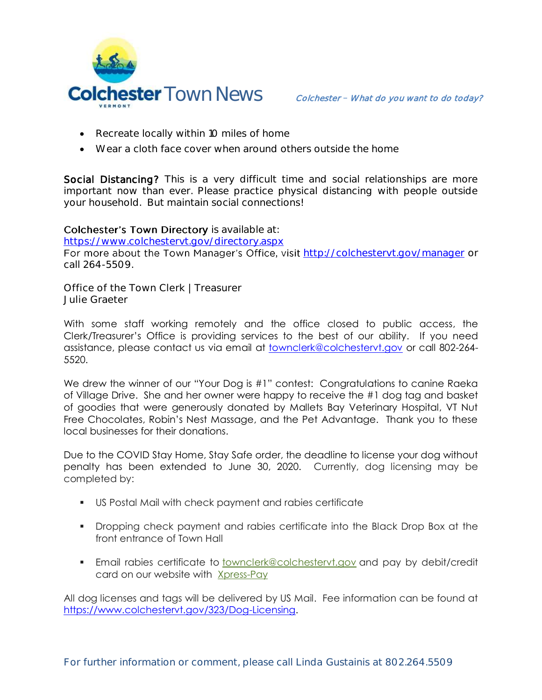

- Recreate locally within 10 miles of home
- Wear a cloth face cover when around others outside the home

Social Distancing? This is a very difficult time and social relationships are more important now than ever. Please practice physical distancing with people outside your household. But maintain social connections!

## Colchester's Town Directory is available at:

<https://www.colchestervt.gov/directory.aspx>

For more about the Town Manager's Office, visit <http://colchestervt.gov/manager> or call 264-5509.

**Office of the Town Clerk | Treasurer Julie Graeter**

With some staff working remotely and the office closed to public access, the Clerk/Treasurer's Office is providing services to the best of our ability. If you need assistance, please contact us via email at [townclerk@colchestervt.gov](mailto:townclerk@colchestervt.gov) or call 802-264- 5520.

We drew the winner of our "Your Dog is #1" contest: Congratulations to canine Raeka of Village Drive. She and her owner were happy to receive the #1 dog tag and basket of goodies that were generously donated by Mallets Bay Veterinary Hospital, VT Nut Free Chocolates, Robin's Nest Massage, and the Pet Advantage. Thank you to these local businesses for their donations.

Due to the COVID Stay Home, Stay Safe order, the deadline to license your dog without penalty has been extended to June 30, 2020. Currently, dog licensing may be completed by:

- US Postal Mail with check payment and rabies certificate
- Dropping check payment and rabies certificate into the Black Drop Box at the front entrance of Town Hall
- **Email rabies certificate to <b>[townclerk@colchestervt.gov](https://www.colchestervt.gov/323/townclerk@colchestervt.gov)** and pay by debit/credit card on our website with [Xpress-Pay](https://pay.xpress-pay.com/org/A056F9EB1DE24F6)

All dog licenses and tags will be delivered by US Mail. Fee information can be found at [https://www.colchestervt.gov/323/Dog-Licensing.](https://www.colchestervt.gov/323/Dog-Licensing)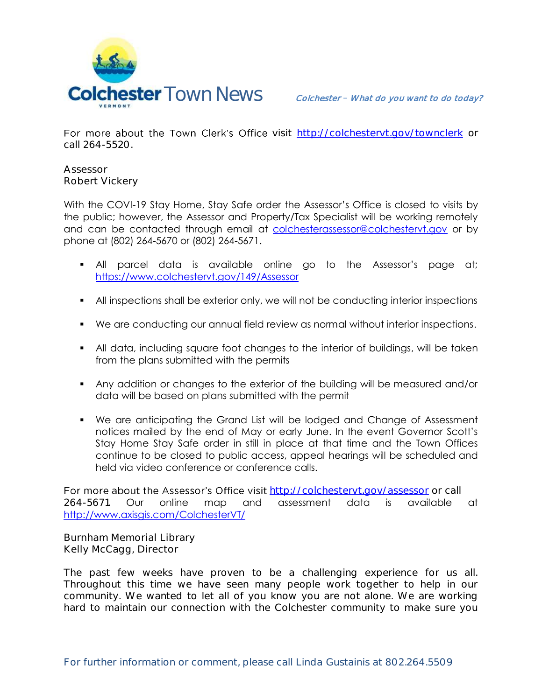

For more about the Town Clerk's Office visit http://colchesteryt.gov/townclerk or call 264-5520.

**Assessor Robert Vickery**

With the COVI-19 Stay Home, Stay Safe order the Assessor's Office is closed to visits by the public; however, the Assessor and Property/Tax Specialist will be working remotely and can be contacted through email at [colchesterassessor@colchestervt.gov](mailto:colchesterassessor@colchestervt.gov) or by phone at (802) 264-5670 or (802) 264-5671.

- All parcel data is available online go to the Assessor's page at; <https://www.colchestervt.gov/149/Assessor>
- All inspections shall be exterior only, we will not be conducting interior inspections
- We are conducting our annual field review as normal without interior inspections.
- All data, including square foot changes to the interior of buildings, will be taken from the plans submitted with the permits
- Any addition or changes to the exterior of the building will be measured and/or data will be based on plans submitted with the permit
- We are anticipating the Grand List will be lodged and Change of Assessment notices mailed by the end of May or early June. In the event Governor Scott's Stay Home Stay Safe order in still in place at that time and the Town Offices continue to be closed to public access, appeal hearings will be scheduled and held via video conference or conference calls.

For more about the Assessor's Office visit <http://colchestervt.gov/assessor> or call 264-5671. Our online map and assessment data is available at <http://www.axisgis.com/ColchesterVT/>

**Burnham Memorial Library Kelly McCagg, Director**

The past few weeks have proven to be a challenging experience for us all. Throughout this time we have seen many people work together to help in our community. We wanted to let all of you know you are not alone. We are working hard to maintain our connection with the Colchester community to make sure you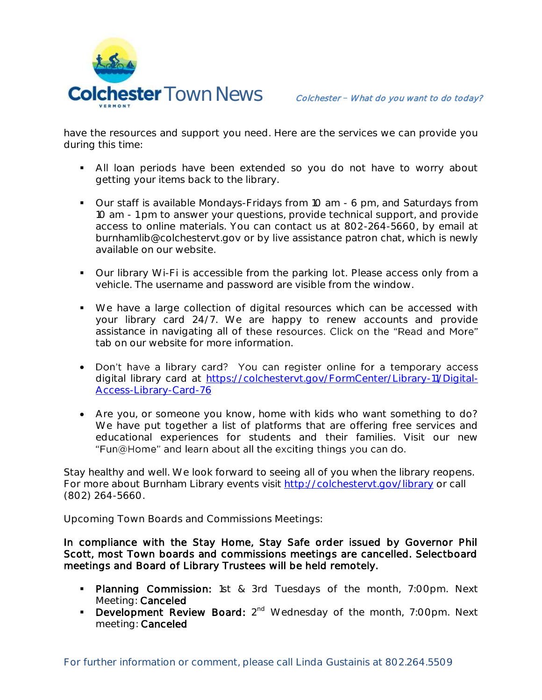

have the resources and support you need. Here are the services we can provide you during this time:

- All loan periods have been extended so you do not have to worry about getting your items back to the library.
- Our staff is available Mondays-Fridays from 10 am 6 pm, and Saturdays from 10 am - 1 pm to answer your questions, provide technical support, and provide access to online materials. You can contact us at 802-264-5660, by email at burnhamlib@colchestervt.gov or by live assistance patron chat, which is newly available on our website.
- Our library Wi-Fi is accessible from the parking lot. Please access only from a vehicle. The username and password are visible from the window.
- We have a large collection of digital resources which can be accessed with your library card 24/7. We are happy to renew accounts and provide assistance in navigating all of these resources. Click on the "Read and More" tab on our website for more information.
- Don't have a library card? You can register online for a temporary access digital library card at [https://colchestervt.gov/FormCenter/Library-11/Digital-](https://colchestervt.gov/FormCenter/Library-11/Digital-Access-Library-Card-76)[Access-Library-Card-76](https://colchestervt.gov/FormCenter/Library-11/Digital-Access-Library-Card-76)
- Are you, or someone you know, home with kids who want something to do? We have put together a list of platforms that are offering free services and educational experiences for students and their families. Visit our new "Fun@Home" and learn about all the exciting things you can do.

Stay healthy and well. We look forward to seeing all of you when the library reopens. For more about Burnham Library events visit<http://colchestervt.gov/library> or call (802) 264-5660.

**Upcoming Town Boards and Commissions Meetings:** 

In compliance with the Stay Home, Stay Safe order issued by Governor Phil Scott, most Town boards and commissions meetings are cancelled. Selectboard meetings and Board of Library Trustees will be held remotely.

- **Planning Commission:** 1st & 3rd Tuesdays of the month, 7:00pm. Next Meeting: Canceled
- Development Review Board: 2<sup>nd</sup> Wednesday of the month, 7:00pm. Next meeting: Canceled